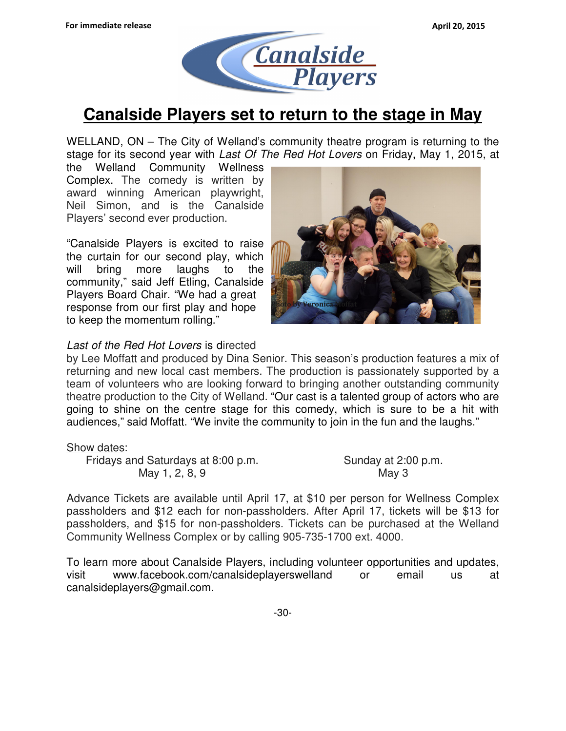

# **Canalside Players set to return to the stage in May**

 WELLAND, ON – The City of Welland's community theatre program is returning to the stage for its second year with Last Of The Red Hot Lovers on Friday, May 1, 2015, at

 the Welland Community Wellness Complex. The comedy is written by award winning American playwright, Neil Simon, and is the Canalside Players' second ever production.

 "Canalside Players is excited to raise the curtain for our second play, which will bring more laughs to the community," said Jeff Etling, Canalside Players Board Chair. "We had a great response from our first play and hope the by Veronica Motal to keep the momentum rolling."



# Last of the Red Hot Lovers is directed

 by Lee Moffatt and produced by Dina Senior. This season's production features a mix of returning and new local cast members. The production is passionately supported by a team of volunteers who are looking forward to bringing another outstanding community theatre production to the City of Welland. "Our cast is a talented group of actors who are going to shine on the centre stage for this comedy, which is sure to be a hit with audiences," said Moffatt. "We invite the community to join in the fun and the laughs."

Show dates:

Fridays and Saturdays at 8:00 p.m. Sunday at 2:00 p.m. May 1, 2, 8, 9 May 3

Sunday at 2:00 p.m. May 3

 Advance Tickets are available until April 17, at \$10 per person for Wellness Complex passholders and \$12 each for non-passholders. After April 17, tickets will be \$13 for passholders, and \$15 for non-passholders. Tickets can be purchased at the Welland Community Wellness Complex or by calling 905-735-1700 ext. 4000.

 To learn more about Canalside Players, including volunteer opportunities and updates, visit www.facebook.com/canalsideplayerswelland or email us at canalsideplayers@gmail.com.